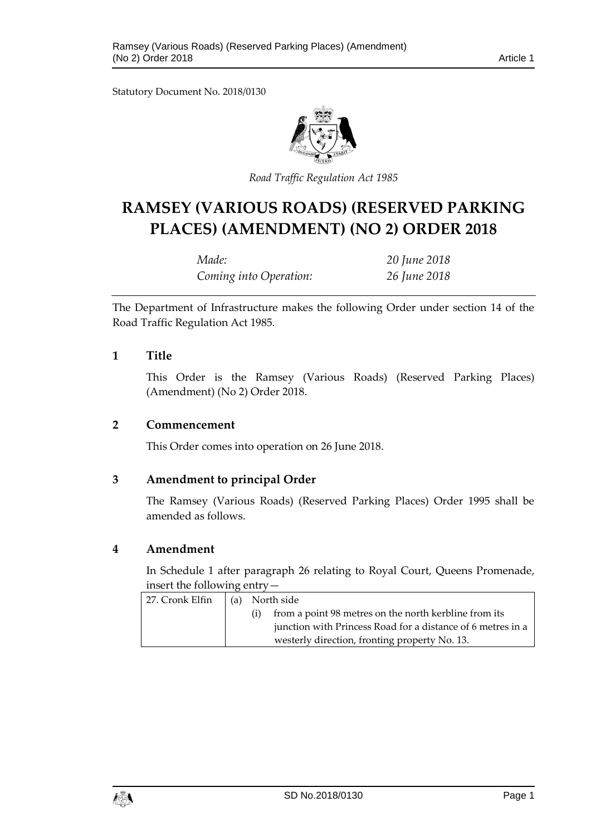Statutory Document No. 2018/0130



*Road Traffic Regulation Act 1985*

# **RAMSEY (VARIOUS ROADS) (RESERVED PARKING PLACES) (AMENDMENT) (NO 2) ORDER 2018**

| Made:                  | 20 June 2018 |
|------------------------|--------------|
| Coming into Operation: | 26 June 2018 |

The Department of Infrastructure makes the following Order under section 14 of the Road Traffic Regulation Act 1985.

#### **1 Title**

This Order is the Ramsey (Various Roads) (Reserved Parking Places) (Amendment) (No 2) Order 2018.

#### **2 Commencement**

This Order comes into operation on 26 June 2018.

### **3 Amendment to principal Order**

The Ramsey (Various Roads) (Reserved Parking Places) Order 1995 shall be amended as follows.

### **4 Amendment**

In Schedule 1 after paragraph 26 relating to Royal Court, Queens Promenade, insert the following entry—

| 27. Cronk Elfin | (a) North side |                                                             |
|-----------------|----------------|-------------------------------------------------------------|
|                 |                | from a point 98 metres on the north kerbline from its       |
|                 |                | junction with Princess Road for a distance of 6 metres in a |
|                 |                | westerly direction, fronting property No. 13.               |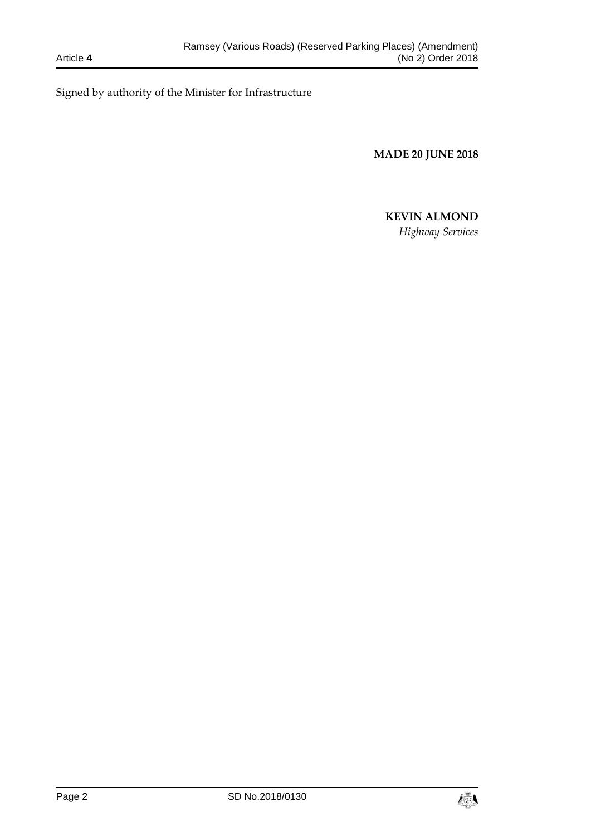Signed by authority of the Minister for Infrastructure

**MADE 20 JUNE 2018**

# **KEVIN ALMOND**

*Highway Services*